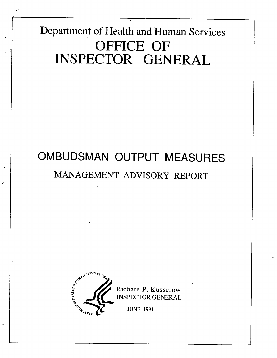Department of Health and Human Services OFFICE OF INSPECTOR GENERAL

# OMBUDSMAN OUTPUT MEASURES MANAGEMENT ADVISORY REPORT



 $\frac{1}{2}$ 

Richard P. Kusserow

JUNE 1991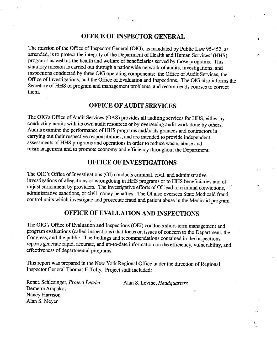#### OFFICE OF INSPECTOR GENERAL

Å

۰ŧ.

The mission of the Office of Inspector General (OIG), as mandated by Public Law 95-452, as amended, is to protect the integrity of the Department of Health and Human Services' (HHS) programs as well as the health and welfare of beneficiaries served by those programs. This statutory mission is carried out through a nationwide network of audits, investigations, and inspections conducted by three OIG operating components: the Office of Audit Services, the Office of Investigations, and the Office of Evaluation and Inspections.. The OIG also informs the Secretary of HHS of program and management problems, and recommends courses to correct them.

#### OFFICE OF AUDIT SERVICES

The OIG's Office of Audit Services (OAS) provides all auditing services for HHS, either by conducting audits with its own audit resources or by overseeing audit work done by others. Audits examine the performance of HHS programs and/or its grantees and contractors in carrying out their respective responsibilities, and are intended to provide independent assessments of HHS programs and operations in order to reduce waste, abuse and mismanagement and to promote economy and efficiency throughout the Department.

#### OFFICE OF INVESTIGATIONS

The OIG's Office of Investigations (OI) conducts criminal, civil, and administrative investigations of allegations of wrongdoing in HHS programs or to HHS beneficiaries and of unjust enrichment by providers. The investigative efforts of OI lead to criminal convictions, administrative sanctions, or civil money penalties. The OI also oversees State Medicaid fraud control units which investigate and prosecute fraud and patient abuse in the Medicaid program.

#### OFFICE OF EVALUATION AND INSPECTIONS

The OIG's Office of Evaluation and Inspections (OEI) conducts short-term management and program evaluations (called inspections) that focus on issues of concern to the Deparment, the Congress, and the public. The fmdings and recommendations contained in the inspections reports generate rapid, accurate, and up-to-date information on the efficiency, vulnerability, and effectiveness of deparmental programs.

This report was prepard in the New York Regional Office under the direction of Regional Inspector General Thomas F. Tully. Project staff included:

Alan S. Levine, Headquarters

Renee Schlesinger, Project Leader Demetra Arapakos Nancy Harrison Alan S. Meyer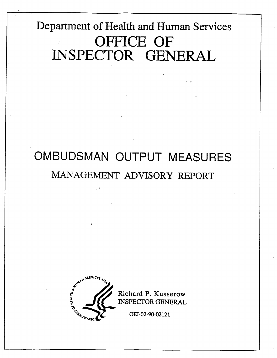# Department of Health and Human Services OFFICE OF INSPECTOR GENERAL

# OMBUDSMAN OUTPUT MEASURES MANAGEMENT ADVISORY REPORT



Richard P. Kusserow **INSPECTOR GENERAL** 

OEI-02-90-02121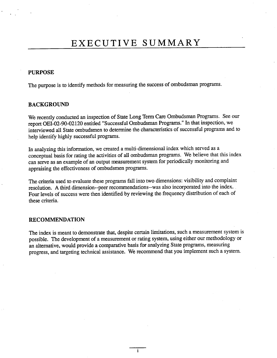## EXECUTIVE SUMMARY

#### PURPOSE

The purpose is to identify methods for measuring the success of ombudsman programs.

#### BACKGROUND

We recently conducted an inspection of State Long Term Care Ombudsman Programs. See our report OEI-02-90-02120 entitled "Successful Ombudsman Programs." In that inspection, we interviewed all State ombudsmen to determine the characteristics of successful programs and to help identify highly successful programs.

In analyzing this information, we created a multi-dimensional index which served as a conceptual basis for rating the activities of all ombudsman programs. We believe that this index can serve as an example of an output measurement system for periodically monitoring and appraising the effectiveness of ombudsmen programs.

The criteria used to evaluate these programs fall into two dimensions: visibility and complaint resolution. A third dimension--peer recommendations--was also incorporated into the index. . Four levels of success were then identified by reviewing the frequency distribution of each of these criteria.

#### RECOMMENDATION

The index is meant to demonstrate that, despite certain limitations, such a measurement system is possible. The development of a measurement or rating system, using either our methodology or an alternative, would provide a comparative basis for analyzing State programs, measuring progress, and targeting technical assistance. We recommend that you implement such a system.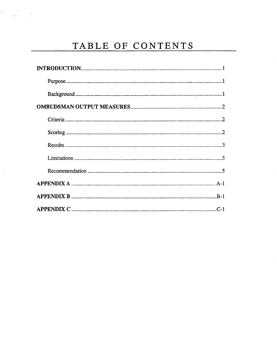### TABLE OF CONTENTS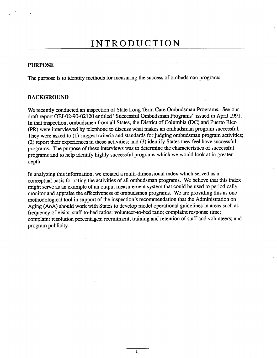### INTRODUCTION

#### PURPOSE

The purpose is to identify methods for measuring the success of ombudsman programs.

#### BACKGROUND

We recently conducted an inspection of State Long Term Care Ombudsman Programs. See our draft report OEI-02-90-02120 entitled "Successful Ombudsman Programs" issued in April 1991. In that inspection, ombudsmen from all States, the District of Columbia (DC) and Puerto Rico (PR) were interviewed by telephone to discuss what makes an ombudsman program successful. They were asked to (1) suggest criteria and standards for judging ombudsman program activities; (2) report their experiences in these activities; and (3) identify States they feel have successful programs. The purpose of these interviews was to determine the characteristics of successful programs and to help identify highly successful programs which we would look at in greater depth.

In analyzing this information, we created a multi-dimensional index which served as a conceptual basis for rating the activities of all ombudsman programs. We believe that this index might serve as an example of an output measurement system that could be used to periodically monitor and appraise the effectiveness of ombudsmen programs. We are providing this as one methodological tool in support of the inspection's recommendation that the Administration on Aging (AoA) should work with States to develop model operational guidelines in areas such as frequency of visits; staff-to-bed ratios; volunteer-to-bed ratio; complaint response time; complaint resolution percentages; recruitment, training and retention of staff and volunteers; and program publicity.

 $\mathbf{1}$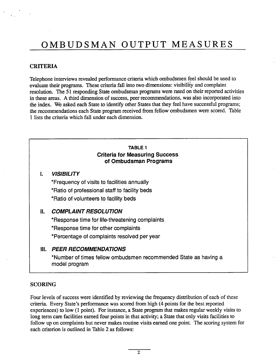#### CRITERIA

Telephone interviews revealed performance criteria which ombudsmen feel should be used to evaluate their programs. These criteria fall into two dimensions: visibility and complaint resolution. The 51 responding State ombudsman programs were rated on their reported activities in these areas. A third dimension of success, peer recommendations, was also incorporated into the index. We asked each State to identify other States that they feel have successful programs; the recommendations each State program received from fellow ombudsmen were scored. Table 1 lists the criteria which fall under each dimension.

#### TABLE 1 Criteria for Measuring Success of Ombudsman Programs

#### **VISIBILITY**  $\mathbf{L}$

Frequency of visits to facilities annually Ratio of professional staff to facility beds \*Ratio of volunteers to facility beds

#### II. COMPLAINT RESOLUTION

Response time for life-threatening complaints \*Response time for other complaints.

\*Percentage of complaints resolved per year

#### II. PEER RECOMMENDATIONS

Number of times fellow ombudsmen recommended State as having a model program

#### SCORING

Four levels of success were identified by reviewing the frequency distribution of each of these criteria. Every State's performance was scored from high (4 points for the best reported experiences) to low (1 point). For instance, a State program that makes regular weekly visits to long term care facilities earned four points in that activity; a State that only visits facilities to follow up on complaints but never makes routine visits earned one point. The scoring system for each criterion is outlined in Table 2 as follows: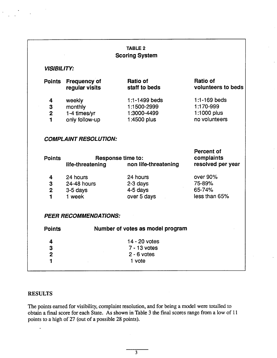#### TABLE 2 Scoring System

#### VISIBILITY:

| Points      | <b>Frequency of</b><br>regular visits | Ratio of<br>staff to beds | Ratio of<br>volunteers to beds |
|-------------|---------------------------------------|---------------------------|--------------------------------|
| 4           | weekly                                | 1:1-1499 beds             | $1:1 - 169$ beds               |
| 3           | monthly                               | 1:1500-2999               | 1:170-999                      |
| $\mathbf 2$ | 1-4 times/yr                          | 1:3000-4499               | 1:1000 plus                    |
| 1           | only follow-up                        | 1:4500 plus               | no volunteers                  |
|             |                                       |                           |                                |

#### COMPLAINT RESOLUTION:

|                |                              |                                           | Percent of<br>complaints |
|----------------|------------------------------|-------------------------------------------|--------------------------|
| <b>Points</b>  | life-threatening             | Response time to:<br>non life-threatening | resolved per year        |
|                |                              |                                           |                          |
| 4              | 24 hours                     | 24 hours                                  | over 90%                 |
| 3              | 24-48 hours                  | $2-3$ days                                | 75-89%                   |
| $\overline{2}$ | $3-5$ days                   | 4-5 days                                  | 65-74%                   |
| $\mathbf{1}$   | 1 week                       | over 5 days                               | less than 65%            |
|                |                              |                                           |                          |
|                |                              |                                           |                          |
|                | <b>PEER RECOMMENDATIONS:</b> |                                           |                          |
|                |                              |                                           |                          |
| <b>Points</b>  |                              | Number of votes as model program          |                          |
| 4              |                              | 14 - 20 votes                             |                          |
| 3              |                              | 7 - 13 votes                              |                          |
| $\overline{2}$ |                              | $2 - 6$ votes                             |                          |
|                |                              |                                           |                          |

#### **RESULTS**

 $\mathbf{1}$ 

The points earned for visibility, complaint resolution, and for being a model were totalled to obtain a final score for each State. As shown in Table 3 the final scores range from a low of 11 points to a high of 27 (out of a possible 28 points).

1 vote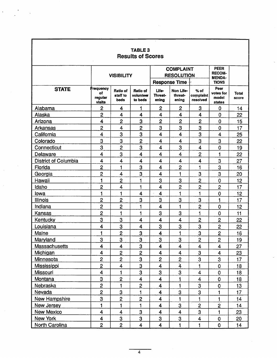| <b>TABLE 3</b><br><b>Results of Scores</b> |                            |                                            |                                       |                           |                                                       |                                               |                                            |                       |
|--------------------------------------------|----------------------------|--------------------------------------------|---------------------------------------|---------------------------|-------------------------------------------------------|-----------------------------------------------|--------------------------------------------|-----------------------|
|                                            | <b>VISIBILITY</b>          |                                            | <b>COMPLAINT</b><br><b>RESOLUTION</b> |                           |                                                       | <b>PEER</b><br><b>RECOM-</b><br><b>MENDA-</b> |                                            |                       |
| <b>STATE</b>                               | Frequency<br>of<br>regular | <b>Ratio of</b><br>staff to<br><b>beds</b> | Ratio of<br>volunteer<br>to beds      | Life-<br>Threat-<br>ening | <b>Response Time</b><br>Non Life-<br>threat-<br>ening | % of<br>complaint<br>resolved                 | <b>TIONS</b><br>Peer<br>votes for<br>model | <b>Total</b><br>score |
|                                            | visits                     |                                            |                                       |                           |                                                       |                                               | states                                     |                       |
| Alabama                                    | $\overline{c}$             | 4                                          | 1                                     | 2                         | 2                                                     | 3                                             | 0                                          | 14                    |
| Alaska                                     | $\overline{2}$             | 4                                          | 4                                     | 4                         | 4                                                     | 4                                             | 0                                          | 22                    |
| Arizona                                    | 4                          | $\overline{2}$                             | 3                                     | $\mathbf{2}$              | $\overline{2}$                                        | $\overline{c}$                                | 0                                          | 15                    |
| Arkansas                                   | 2                          | 4                                          | $\overline{2}$                        | 3                         | 3                                                     | 3                                             | 0                                          | 17                    |
| California                                 | $\overline{\mathbf{4}}$    | 3                                          | 3                                     | 4                         | 4                                                     | 3                                             | 4                                          | 25                    |
| Colorado                                   | 3                          | 3                                          | $\overline{c}$                        | $\overline{\mathbf{4}}$   | $\overline{\mathbf{4}}$                               | 3                                             | 3                                          | 22                    |
| Connecticut                                | 3                          | $\overline{2}$                             | 3                                     | $\overline{\mathbf{4}}$   | 3                                                     | $\overline{4}$                                | $\overline{0}$                             | 19                    |
| Delaware                                   | 4                          | 3                                          | 4                                     | 4                         | 4                                                     | $\overline{c}$                                | 1                                          | 22                    |
| <b>District of Columbia</b>                | 4                          | 4                                          | 4                                     | 4                         | 4                                                     | $\overline{\mathbf{4}}$                       | 3                                          | 27                    |
| Florida                                    | $\overline{2}$             | 1                                          | 3                                     | $\overline{\mathbf{4}}$   | $\overline{2}$                                        | 1                                             | 3                                          | 16                    |
| Georgia                                    | $\overline{2}$             | 4                                          | 3                                     | $\overline{\mathbf{4}}$   | 1                                                     | 3                                             | 3                                          | 20                    |
| Hawaii                                     | 1                          | $\overline{c}$                             | 1                                     | 3                         | 3                                                     | $\overline{c}$                                | $\overline{0}$                             | 12                    |
| Idaho                                      | $\overline{c}$             | 4                                          | 1                                     | $\overline{\mathbf{4}}$   | $\overline{2}$                                        | $\overline{2}$                                | $\overline{2}$                             | 17                    |
| lowa                                       | $\mathbf{1}$               | 1                                          | $\overline{\mathbf{4}}$               | $\overline{\mathbf{4}}$   | 1                                                     | 1                                             | $\mathbf 0$                                | 12                    |
| Illinois                                   | $\overline{2}$             | $\overline{2}$                             | 3                                     | 3                         | 3                                                     | 3                                             | 1                                          | 17                    |
| Indiana                                    | $\overline{2}$             | $\overline{c}$                             | 1                                     | 4                         | 1                                                     | $\overline{2}$                                | 0                                          | 12                    |
| Kansas                                     | $\overline{2}$             | 1                                          | 1                                     | 3                         | 3                                                     | $\mathbf{1}$                                  | 0                                          | 11                    |
| Kentucky                                   | 3                          | 3                                          | 4                                     | 4                         | $\overline{\mathbf{4}}$                               | $\overline{2}$                                | $\overline{2}$                             | 22                    |
| Louisiana                                  | 4                          | 3                                          | 4                                     | 3                         | 3                                                     | 3                                             | $\overline{c}$                             | 22                    |
| Maine                                      | $\mathbf{1}$               | $\overline{2}$                             | 3                                     | 4                         | 1                                                     | 3                                             | $\overline{c}$                             | 16                    |
| Maryland                                   | 3                          | 3                                          | 3                                     | 3                         | 3                                                     | $\overline{c}$                                | $\overline{c}$                             | 19                    |
| <b>Massachusetts</b>                       | 4                          | $\overline{\mathbf{4}}$                    | 3                                     | $\overline{\mathbf{4}}$   | 4                                                     | 4                                             | 4                                          | 27                    |
| Michigan                                   | 4                          | $\overline{c}$                             | $\overline{2}$                        | 4                         | 4                                                     | 3                                             | 4                                          | 23                    |
| <b>Minnesota</b>                           | $\overline{2}$             | $\overline{2}$                             | 3                                     | $\overline{\mathbf{c}}$   | $\overline{c}$                                        | 3                                             | 3                                          | 17                    |
| Mississippi                                | $\overline{2}$             | 4                                          | 3                                     | 4                         | $\ddot{4}$                                            |                                               | $\mathbf 0$                                | 18                    |
| Missouri                                   | $\overline{\mathbf{4}}$    | 1                                          | 3                                     | 3                         | 3                                                     | 4                                             | $\mathbf 0$                                | 18                    |
| Montana                                    | 3                          | $\mathbf{2}$                               | $\overline{\mathbf{4}}$               | $\overline{\mathbf{4}}$   | 1                                                     | 4                                             | $\mathbf 0$                                | 18                    |
| Nebraska                                   | $\overline{2}$             | 1                                          | $\overline{2}$                        | 4                         | 1                                                     | 3                                             | $\mathbf 0$                                | 13                    |
| Nevada                                     | $\overline{2}$             | 3                                          | 1                                     | 4                         | 3                                                     | 3                                             |                                            | 17                    |
| New Hampshire                              | $\overline{3}$             | $\overline{2}$                             | $\mathbf{2}$                          | 4                         |                                                       |                                               | 1                                          | 14                    |
| <b>New Jersey</b>                          | 1                          | 1                                          | 1                                     | 4                         | 3                                                     | $\overline{2}$                                | $\overline{2}$                             | 14                    |
| <b>New Mexico</b>                          | $\overline{\mathbf{4}}$    | 4                                          | 3                                     | $\overline{\mathbf{4}}$   | $\overline{\mathbf{4}}$                               | 3                                             | 1                                          | 23                    |
| New York                                   | 4                          | 3                                          | 3                                     | 3                         | 3                                                     | $\overline{\mathbf{4}}$                       | $\mathbf 0$                                | 20                    |
| North Carolina                             | $\overline{2}$             | $\overline{2}$                             | 4                                     | $\overline{\mathbf{4}}$   | 1                                                     | $\mathbf{1}$                                  | $\mathbf 0$                                | 14                    |

٦

 $\ddot{\phantom{0}}$ 

Г

 $\overline{4}$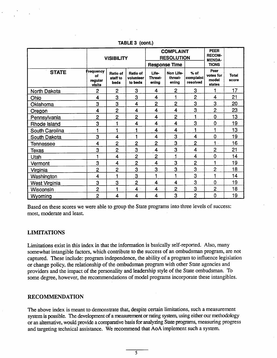|                | <b>VISIBILITY</b>                    |                                     | <b>COMPLAINT</b><br><b>RESOLUTION</b><br><b>Response Time</b> |                                  |                               | <b>PEER</b><br><b>RECOM-</b><br><b>MENDA-</b><br><b>TIONS</b> |                                      |                       |
|----------------|--------------------------------------|-------------------------------------|---------------------------------------------------------------|----------------------------------|-------------------------------|---------------------------------------------------------------|--------------------------------------|-----------------------|
| <b>STATE</b>   | Frequency<br>of<br>regular<br>visits | <b>Ratio of</b><br>staff to<br>beds | Ratio of<br>volunteer<br>to beds                              | Life-<br><b>Threat-</b><br>ening | Non Life-<br>threat-<br>enina | $%$ of<br>complaint<br>resolved                               | Peer<br>votes for<br>model<br>states | <b>Total</b><br>score |
| North Dakota   | $\overline{2}$                       | $\mathbf{2}$                        | 3                                                             | 4                                | $\overline{2}$                | 3                                                             |                                      | 17                    |
| Ohio           | 4                                    | 3                                   | 3                                                             | 4                                | 1                             | $\overline{2}$                                                | 4                                    | 21                    |
| Oklahoma       | 3                                    | 3                                   | 4                                                             | $\overline{c}$                   | $\overline{2}$                | 3                                                             | 3                                    | 20                    |
| Oregon         | 4                                    | $\overline{2}$                      | 4                                                             | 4                                | 4                             | 3                                                             | $\overline{c}$                       | 23                    |
| Pennsylvania   | 2                                    | $\overline{c}$                      | $\overline{2}$                                                | 4                                | $\overline{2}$                | 1                                                             | 0                                    | 13                    |
| Rhode Island   | 3                                    |                                     | 4                                                             | 4                                | 4                             | 3                                                             | 0                                    | 19                    |
| South Carolina | 1                                    | Ч                                   | 1                                                             | 4                                | 4                             | 1                                                             | 1                                    | 13                    |
| South Dakota   | 3                                    | $\overline{\mathbf{4}}$             | 1                                                             | 4                                | 3                             | 4                                                             | $\mathbf 0$                          | 19                    |
| Tennessee      | 4                                    | 2                                   | $\overline{2}$                                                | 2                                | 3                             | $\mathbf{2}$                                                  | 1                                    | 16                    |
| Texas          | 3                                    | $\overline{2}$                      | 3                                                             | 4                                | 3                             | 4                                                             | $\overline{c}$                       | 21                    |
| Utah           | 1                                    | 4                                   | $\overline{2}$                                                | 2                                |                               | $\overline{4}$                                                | $\mathbf 0$                          | 14                    |
| Vermont        | 3                                    | 4                                   | $\overline{2}$                                                | 4                                | 3                             | $\overline{c}$                                                | 4                                    | 19                    |
| Virginia       | $\overline{c}$                       | $\overline{2}$                      | 3                                                             | 3                                | 3                             | 3                                                             | $\overline{2}$                       | 18                    |
| Washington     | 4                                    |                                     | 3                                                             | 1                                | 1                             | 3                                                             | 1                                    | 14                    |
| West Virginia  | 3                                    | 3                                   | $\overline{2}$                                                | $\overline{\mathbf{4}}$          | 4                             | 3                                                             | 0                                    | 19                    |
| Wisconsin      | $\mathbf{2}$                         |                                     | $\overline{\mathbf{4}}$                                       | 4                                | 2                             | 3                                                             | $\overline{2}$                       | 18                    |
| Wyoming        | $\overline{2}$                       | 4                                   | 4                                                             | 4                                | 3                             | $\overline{2}$                                                | 0                                    | 19                    |

TABLE 3 (cont.)

Based on these scores we were able to group the State programs into three levels of success: most, moderate and least.

#### LIMITATIONS

Limtations exist in this index in that the information is basically self-reported. Also, many somewhat intangible factors, which contribute to the success of an ombudsman program, are not captured. These include: program independence, the ability of a program to influence legislation or change policy, the relationship of the ombudsman program with other State agencies and providers and the impact of the personality and leadership style of the State ombudsman. To some degree, however, the recommendations of model programs incorporate these intangibles.

#### RECOMMENDATION

The above index is meant to demonstrate that, despite certain limitations, such a measurement system is possible. The development of a measurement or rating system, using either our methodology or an alternative, would provide a comparative basis for analyzing State programs, measuring progress and targeting technical assistance. We recommend that AoA implement such a system.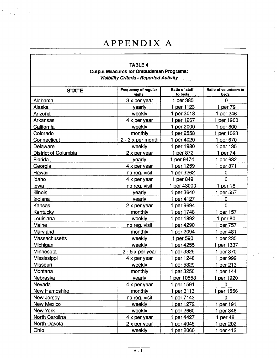### APPENDIX A

#### TABLE 4

#### Output Measures for Ombudsman Programs: Visibilty Criteria. Reported Activity ا<br>پیدائش ک

| <b>STATE</b>                | <b>Frequency of regular</b><br>visits | <b>Ratio of staff</b><br>to beds | Ratio of volunteers to<br>beds |
|-----------------------------|---------------------------------------|----------------------------------|--------------------------------|
| Alabama                     | $3x$ per year                         | 1 per 385                        | 0                              |
| Alaska                      | yearly                                | 1 per 1123                       | 1 per 79                       |
| Arizona                     | weekly                                | 1 per 3018                       | 1 per 246                      |
| <b>Arkansas</b>             | 4 x per year                          | 1 per 1267                       | 1 per 1900                     |
| California                  | weekly                                | 1 per 2000                       | 1 per 800                      |
| Colorado                    | monthly                               | 1 per 2558                       | 1 per 1023                     |
| Connecticut                 | $2 - 3x$ per month                    | 1 per 4020                       | 1 per 670                      |
| Delaware                    | weekly                                | 1 per 1980                       | 1 per 135                      |
| <b>District of Columbia</b> | 2 x per year                          | 1 per 872                        | 1 per 74                       |
| Florida                     | yearly                                | 1 per 9474                       | 1 per 632                      |
| Georgia                     | 4 x per year                          | 1 per 1259                       | 1 per 871                      |
| Hawaii                      | no reg. visit                         | 1 per 3262                       | 0                              |
| Idaho                       | 4 x per year                          | 1 per 849                        | $\mathbf 0$                    |
| lowa                        | no reg. visit                         | 1 per 43000                      | 1 per 18                       |
| <b>Illinois</b>             | yearly                                | 1 per 3640                       | 1 per 557                      |
| Indiana                     | yearly                                | 1 per 4127                       | 0                              |
| Kansas                      | 2 x per year                          | 1 per 9694                       | $\mathbf 0$                    |
| Kentucky                    | monthly                               | 1 per 1748                       | 1 per 157                      |
| Louisiana                   | weekly                                | 1 per 1892                       | 1 per $80$                     |
| Maine                       | no reg. visit                         | 1 per 4290                       | 1 per 757                      |
| Maryland                    | monthly                               | 1 per 2094                       | 1 per 481                      |
| Massachusetts               | weekly                                | 1 per 590                        | 1 per 235                      |
| Michigan                    | weekly                                | 1 per 4255                       | 1 per 1337                     |
| Minnesota                   | $2 - 5x$ per year                     | 1 per 3329                       | 1 per 370                      |
| Mississippi                 | 4 x per year                          | 1 per 1248                       | 1 per 999                      |
| <b>Missouri</b>             | weekly                                | 1 per 5329                       | 1 per 213                      |
| Montana                     | monthly                               | 1 per 3250                       | 1 per 144                      |
| Nebraska                    | yearly                                | 1 per 10558                      | 1 per 1920                     |
| Nevada                      | 4 x per year                          | 1 per 1591                       | 0                              |
| <b>New Hampshire</b>        | monthly                               | 1 per 3113                       | 1 per 1556                     |
| <b>New Jersey</b>           | no reg. visit                         | 1 per 7143                       | 0                              |
| New Mexico                  | weekly                                | 1 per 1272                       | 1 per 191                      |
| New York                    | weekly                                | 1 per 2660                       | 1 per 346                      |
| North Carolina              | 4 x per year                          | 1 per 4427                       | 1 per 48                       |
| North Dakota                | 2 x per year                          | 1 per 4045                       | 1 per 202                      |
| Ohio                        | weekly                                | 1 per 2060                       | 1 per 412                      |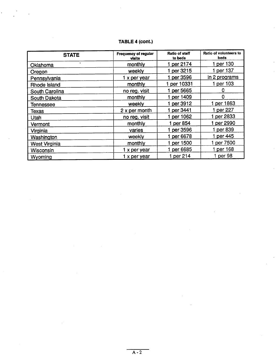### TABLE 4 (cont.)

| <b>STATE</b>          | Frequency of regular<br>visits | <b>Ratio of staff</b><br>to beds | Ratio of volunteers to<br><b>beds</b> |
|-----------------------|--------------------------------|----------------------------------|---------------------------------------|
| $\bullet$<br>Oklahoma | monthly                        | per 2174                         | per 130                               |
| Oregon                | weekly                         | 1 per 3215                       | 1 per 137                             |
| Pennsylvania          | 1 x per year                   | per 3596                         | in 2 programs                         |
| Rhode Island          | monthly                        | per 10331                        | 1 per 103                             |
| South Carolina        | no reg. visit                  | 1 per 5665                       |                                       |
| South Dakota          | monthly                        | 1 per 1409                       | $\Omega$                              |
| Tennessee             | weekly                         | 1 per 3912                       | 1 per 1863                            |
| Texas                 | $2 \times per$ month           | 1 per 3441                       | 1 per 227                             |
| <b>Utah</b>           | no reg. visit                  | 1 per 1062                       | 1 per 2833                            |
| Vermont               | monthly                        | 1 per 854                        | 1 per 2990                            |
| Virginia              | varies                         | 1 per 3596                       | 1 per 839                             |
| Washington            | weekly                         | 1 per 6678                       | 1 per 445                             |
| <b>West Virginia</b>  | monthly                        | 1 per 1500                       | per 7500                              |
| Wisconsin             | 1 x per year                   | 1 per 6685                       | 1 per 168                             |
| Wyoming               | 1 x per year                   | 1 per 214                        | 1 per 98                              |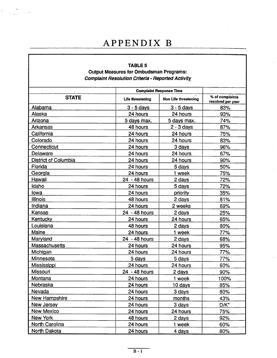### APPENDIX

#### TABLE 5 Output Measures for Ombudsman Programs: Complaint Resolution Criteria - Reported Activity

|                             |                   | <b>Complaint Response Time</b> |                                      |
|-----------------------------|-------------------|--------------------------------|--------------------------------------|
| <b>STATE</b>                | Life threatening  | Non Life threatening           | % of complaints<br>resolved per year |
| Alabama                     | <u>3 - 5 days</u> | $3 - 5$ days                   | 83%                                  |
| Alaska                      | 24 hours          | 24 hours                       | 93%                                  |
| Arizona                     | 5 days max.       | 5 days max.                    | 74%                                  |
| <b>Arkansas</b>             | 48 hours          | $2 - 3$ days                   | 87%                                  |
| California                  | 24 hours          | 24 hours                       | 75%                                  |
| Colorado                    | 24 hours          | 24 hours                       | 83%                                  |
| Connecticut                 | 24 hours          | 3 days                         | 96%                                  |
| Delaware                    | 24 hours          | 24 hours                       | 67%                                  |
| <b>District of Columbia</b> | 24 hours          | 24 hours                       | 90%                                  |
| Florida                     | 24 hours          | 5 days                         | 50%                                  |
| Georgia                     | 24 hours          | 1 week                         | 75%                                  |
| Hawaii                      | 24 - 48 hours     | 2 days                         | 72%                                  |
| idaho                       | 24 hours          | 5 days                         | 72%                                  |
| lowa                        | 24 hours          | priority                       | 35%                                  |
| <b>Illinois</b>             | 48 hours          | 2 days                         | 81%                                  |
| Indiana                     | 24 hours          | 2 weeks                        | 69%                                  |
| Kansas                      | 24 - 48 hours     | 2 days                         | 25%                                  |
| <b>Kentucky</b>             | 24 hours          | 24 hours                       | 65%                                  |
| Louisiana                   | 48 hours          | 2 days                         | 80%                                  |
| Maine                       | 24 hours          | 1 week                         | 77%                                  |
| Maryland                    | 24 - 48 hours     | 2 days                         | 68%                                  |
| Massachusetts               | 24 hours          | 24 hours                       | 95%                                  |
| Michigan                    | 24 hours          | 24 hours                       | 77%                                  |
| Minnesota                   | 5 days            | 5 days                         | 77%                                  |
| Mississippi                 | 24 hours          | 24 hours                       | 60%                                  |
| Missouri                    | 24 - 48 hours     | 2 days                         | 90%                                  |
| Montana                     | 24 hours          | 1 week                         | 100%                                 |
| Nebraska                    | 24 hours          | 10 days                        | 85%                                  |
| Nevada                      | 24 hours          | 3 days                         | 80%                                  |
| New Hampshire               | 24 hours          | months                         | 43%                                  |
| New Jersey                  | 24 hours          | 3 days                         | $D/K^*$                              |
| New Mexico                  | 24 hours          | 24 hours                       | 75%                                  |
| New York                    | 48 hours          | 2 days                         | 92%                                  |
| North Carolina              | 24 hours          | 1 week                         | 60%                                  |
| North Dakota                | 24 hours          | 4 days                         | 80%                                  |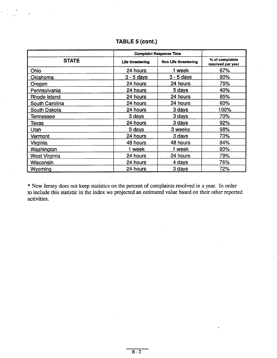|                      |                  | <b>Complaint Response Time</b> |                                      |
|----------------------|------------------|--------------------------------|--------------------------------------|
| <b>STATE</b>         | Life threatening | Non Life threatening           | % of complaints<br>resolved per year |
| Ohio                 | 24 hours         | 1 week                         | 67%                                  |
| Oklahoma             | $3 - 5$ days     | $3 - 5$ days                   | 80%                                  |
| Oregon               | 24 hours         | 24 hours                       | 75%                                  |
| Pennsylvania         | 24 hours         | 5 days                         | 40%                                  |
| Rhode Island         | 24 hours         | 24 hours                       | 85%                                  |
| South Carolina       | 24 hours         | 24 hours                       | 60%                                  |
| South Dakota         | 24 hours         | 3 days                         | 100%                                 |
| Tennessee            | 3 days           | 3 days                         | 70%                                  |
| Texas                | 24 hours         | 3 days                         | 92%                                  |
| Utah                 | 3 days           | 3 weeks                        | 98%                                  |
| Vermont              | 24 hours         | 3 days                         | 70%                                  |
| Virginia             | 48 hours         | 48 hours                       | 84%                                  |
| Washington           | 1 week           | 1 week                         | 80%                                  |
| <b>West Virginia</b> | 24 hours         | 24 hours                       | 79%                                  |
| Wisconsin            | 24 hours         | 4 days                         | 76%                                  |
| Wyoming              | 24 hours         | 3 days                         | 72%                                  |

### TABLE 5 (cont.

\* New Jersey does not keep statistics on the percent of complaints resolved in a year. In order to include this statistic in the index we projected an estimated value based on their other reported activities.